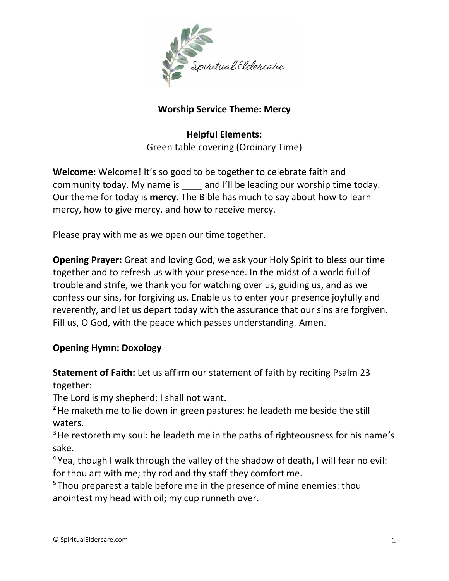

## **Worship Service Theme: Mercy**

**Helpful Elements:** Green table covering (Ordinary Time)

**Welcome:** Welcome! It's so good to be together to celebrate faith and community today. My name is and I'll be leading our worship time today. Our theme for today is **mercy.** The Bible has much to say about how to learn mercy, how to give mercy, and how to receive mercy.

Please pray with me as we open our time together.

**Opening Prayer:** Great and loving God, we ask your Holy Spirit to bless our time together and to refresh us with your presence. In the midst of a world full of trouble and strife, we thank you for watching over us, guiding us, and as we confess our sins, for forgiving us. Enable us to enter your presence joyfully and reverently, and let us depart today with the assurance that our sins are forgiven. Fill us, O God, with the peace which passes understanding. Amen.

# **Opening Hymn: Doxology**

**Statement of Faith:** Let us affirm our statement of faith by reciting Psalm 23 together:

The Lord is my shepherd; I shall not want.

**<sup>2</sup>**He maketh me to lie down in green pastures: he leadeth me beside the still waters.

**<sup>3</sup>**He restoreth my soul: he leadeth me in the paths of righteousness for his name's sake.

**<sup>4</sup>** Yea, though I walk through the valley of the shadow of death, I will fear no evil: for thou art with me; thy rod and thy staff they comfort me.

**<sup>5</sup>** Thou preparest a table before me in the presence of mine enemies: thou anointest my head with oil; my cup runneth over.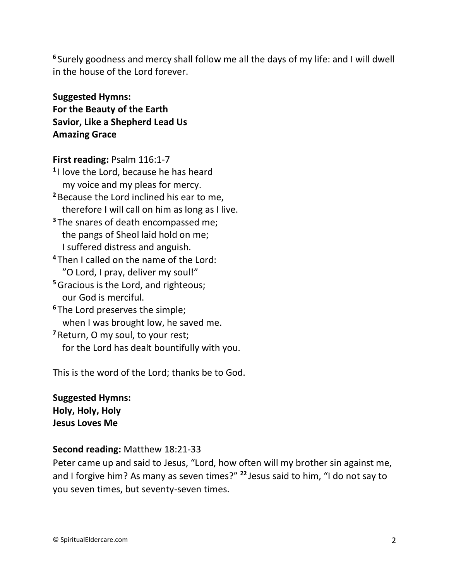**6** Surely goodness and mercy shall follow me all the days of my life: and I will dwell in the house of the Lord forever.

**Suggested Hymns: For the Beauty of the Earth Savior, Like a Shepherd Lead Us Amazing Grace**

**First reading:** Psalm 116:1-7

**1** I love the Lord, because he has heard my voice and my pleas for mercy. **<sup>2</sup>** Because the Lord inclined his ear to me, therefore I will call on him as long as I live. **<sup>3</sup>** The snares of death encompassed me; the pangs of Sheol laid hold on me; I suffered distress and anguish. **<sup>4</sup>** Then I called on the name of the Lord: "O Lord, I pray, deliver my soul!" **<sup>5</sup>**Gracious is the Lord, and righteous; our God is merciful. **<sup>6</sup>** The Lord preserves the simple; when I was brought low, he saved me.

**<sup>7</sup>** Return, O my soul, to your rest; for the Lord has dealt bountifully with you.

This is the word of the Lord; thanks be to God.

**Suggested Hymns: Holy, Holy, Holy Jesus Loves Me**

### **Second reading:** Matthew 18:21-33

Peter came up and said to Jesus, "Lord, how often will my brother sin against me, and I forgive him? As many as seven times?" **<sup>22</sup>** Jesus said to him, "I do not say to you seven times, but seventy-seven times.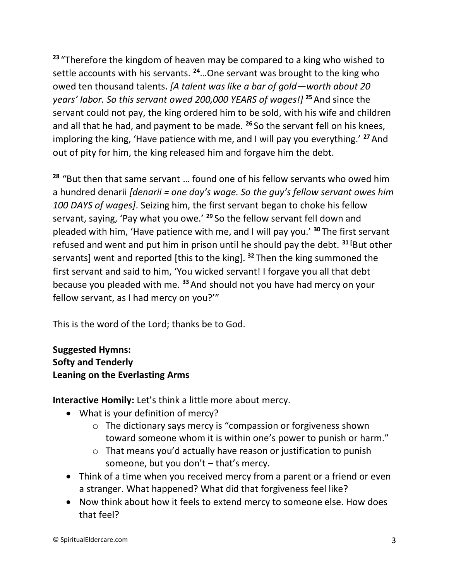**<sup>23</sup>** "Therefore the kingdom of heaven may be compared to a king who wished to settle accounts with his servants. **<sup>24</sup>**…One servant was brought to the king who owed ten thousand talents. *[A talent was like a bar of gold—worth about 20 years' labor. So this servant owed 200,000 YEARS of wages!]* **<sup>25</sup>**And since the servant could not pay, the king ordered him to be sold, with his wife and children and all that he had, and payment to be made. **<sup>26</sup>** So the servant fell on his knees, imploring the king, 'Have patience with me, and I will pay you everything.' **<sup>27</sup>**And out of pity for him, the king released him and forgave him the debt.

**<sup>28</sup>** "But then that same servant … found one of his fellow servants who owed him a hundred denarii *[denarii = one day's wage. So the guy's fellow servant owes him 100 DAYS of wages]*. Seizing him, the first servant began to choke his fellow servant, saying, 'Pay what you owe.' **<sup>29</sup>** So the fellow servant fell down and pleaded with him, 'Have patience with me, and I will pay you.' **<sup>30</sup>** The first servant refused and went and put him in prison until he should pay the debt. **<sup>31</sup> [**But other servants] went and reported [this to the king]. **<sup>32</sup>** Then the king summoned the first servant and said to him, 'You wicked servant! I forgave you all that debt because you pleaded with me. **<sup>33</sup>**And should not you have had mercy on your fellow servant, as I had mercy on you?'"

This is the word of the Lord; thanks be to God.

**Suggested Hymns: Softy and Tenderly Leaning on the Everlasting Arms**

**Interactive Homily:** Let's think a little more about mercy.

- What is your definition of mercy?
	- o The dictionary says mercy is "compassion or forgiveness shown toward someone whom it is within one's power to punish or harm."
	- o That means you'd actually have reason or justification to punish someone, but you don't – that's mercy.
- Think of a time when you received mercy from a parent or a friend or even a stranger. What happened? What did that forgiveness feel like?
- Now think about how it feels to extend mercy to someone else. How does that feel?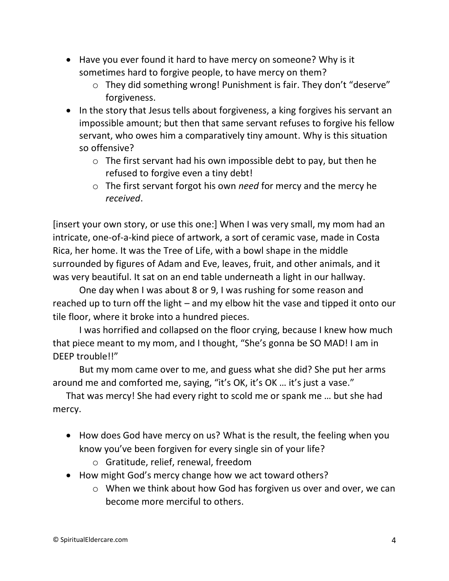- Have you ever found it hard to have mercy on someone? Why is it sometimes hard to forgive people, to have mercy on them?
	- o They did something wrong! Punishment is fair. They don't "deserve" forgiveness.
- In the story that Jesus tells about forgiveness, a king forgives his servant an impossible amount; but then that same servant refuses to forgive his fellow servant, who owes him a comparatively tiny amount. Why is this situation so offensive?
	- $\circ$  The first servant had his own impossible debt to pay, but then he refused to forgive even a tiny debt!
	- o The first servant forgot his own *need* for mercy and the mercy he *received*.

[insert your own story, or use this one:] When I was very small, my mom had an intricate, one-of-a-kind piece of artwork, a sort of ceramic vase, made in Costa Rica, her home. It was the Tree of Life, with a bowl shape in the middle surrounded by figures of Adam and Eve, leaves, fruit, and other animals, and it was very beautiful. It sat on an end table underneath a light in our hallway.

One day when I was about 8 or 9, I was rushing for some reason and reached up to turn off the light – and my elbow hit the vase and tipped it onto our tile floor, where it broke into a hundred pieces.

I was horrified and collapsed on the floor crying, because I knew how much that piece meant to my mom, and I thought, "She's gonna be SO MAD! I am in DEEP trouble!!"

But my mom came over to me, and guess what she did? She put her arms around me and comforted me, saying, "it's OK, it's OK … it's just a vase."

That was mercy! She had every right to scold me or spank me … but she had mercy.

- How does God have mercy on us? What is the result, the feeling when you know you've been forgiven for every single sin of your life?
	- o Gratitude, relief, renewal, freedom
- How might God's mercy change how we act toward others?
	- o When we think about how God has forgiven us over and over, we can become more merciful to others.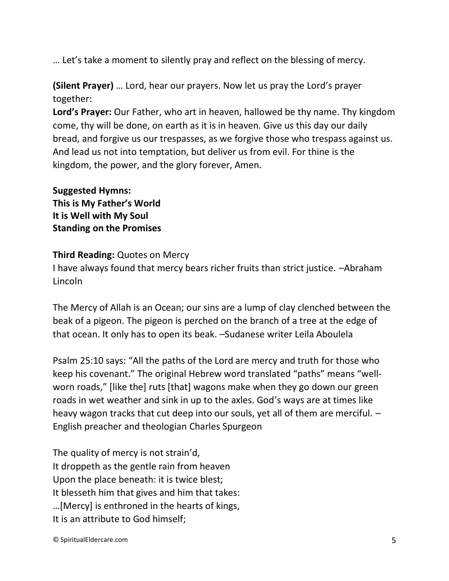… Let's take a moment to silently pray and reflect on the blessing of mercy.

**(Silent Prayer)** … Lord, hear our prayers. Now let us pray the Lord's prayer together:

**Lord's Prayer:** Our Father, who art in heaven, hallowed be thy name. Thy kingdom come, thy will be done, on earth as it is in heaven. Give us this day our daily bread, and forgive us our trespasses, as we forgive those who trespass against us. And lead us not into temptation, but deliver us from evil. For thine is the kingdom, the power, and the glory forever, Amen.

**Suggested Hymns: This is My Father's World It is Well with My Soul Standing on the Promises**

### **Third Reading:** Quotes on Mercy

I have always found that mercy bears richer fruits than strict justice. –Abraham Lincoln

The Mercy of Allah is an Ocean; our sins are a lump of clay clenched between the beak of a pigeon. The pigeon is perched on the branch of a tree at the edge of that ocean. It only has to open its beak. –Sudanese writer Leila Aboulela

Psalm 25:10 says: "All the paths of the Lord are mercy and truth for those who keep his covenant." The original Hebrew word translated "paths" means "wellworn roads," [like the] ruts [that] wagons make when they go down our green roads in wet weather and sink in up to the axles. God's ways are at times like heavy wagon tracks that cut deep into our souls, yet all of them are merciful. – English preacher and theologian Charles Spurgeon

The quality of mercy is not strain'd, It droppeth as the gentle rain from heaven Upon the place beneath: it is twice blest; It blesseth him that gives and him that takes: …[Mercy] is enthroned in the hearts of kings, It is an attribute to God himself;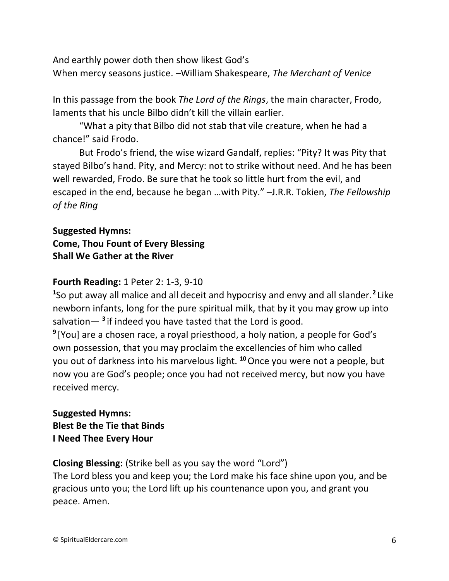And earthly power doth then show likest God's When mercy seasons justice. –William Shakespeare, *The Merchant of Venice*

In this passage from the book *The Lord of the Rings*, the main character, Frodo, laments that his uncle Bilbo didn't kill the villain earlier.

"What a pity that Bilbo did not stab that vile creature, when he had a chance!" said Frodo.

But Frodo's friend, the wise wizard Gandalf, replies: "Pity? It was Pity that stayed Bilbo's hand. Pity, and Mercy: not to strike without need. And he has been well rewarded, Frodo. Be sure that he took so little hurt from the evil, and escaped in the end, because he began …with Pity." –J.R.R. Tokien, *The Fellowship of the Ring*

# **Suggested Hymns: Come, Thou Fount of Every Blessing Shall We Gather at the River**

#### **Fourth Reading:** 1 Peter 2: 1-3, 9-10

**1** So put away all malice and all deceit and hypocrisy and envy and all slander.**<sup>2</sup>** Like newborn infants, long for the pure spiritual milk, that by it you may grow up into salvation— **<sup>3</sup>** if indeed you have tasted that the Lord is good.

**9** [You] are a chosen race, a royal priesthood, a holy nation, a people for God's own possession, that you may proclaim the excellencies of him who called you out of darkness into his marvelous light. **<sup>10</sup>**Once you were not a people, but now you are God's people; once you had not received mercy, but now you have received mercy.

# **Suggested Hymns: Blest Be the Tie that Binds I Need Thee Every Hour**

**Closing Blessing:** (Strike bell as you say the word "Lord")

The Lord bless you and keep you; the Lord make his face shine upon you, and be gracious unto you; the Lord lift up his countenance upon you, and grant you peace. Amen.